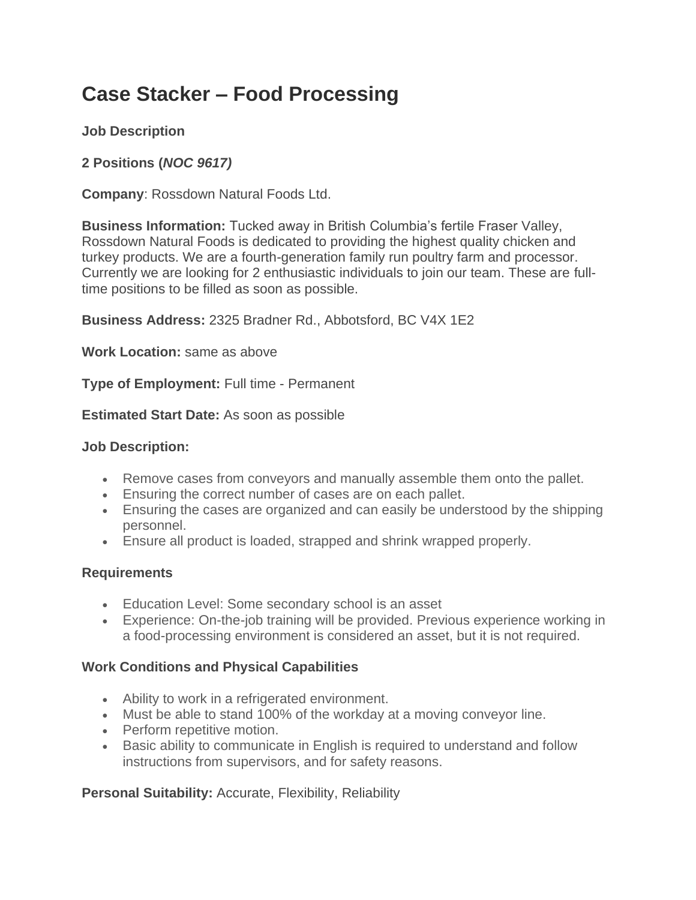# **Case Stacker – Food Processing**

# **Job Description**

# **2 Positions (***NOC 9617)*

**Company**: Rossdown Natural Foods Ltd.

**Business Information:** Tucked away in British Columbia's fertile Fraser Valley, Rossdown Natural Foods is dedicated to providing the highest quality chicken and turkey products. We are a fourth-generation family run poultry farm and processor. Currently we are looking for 2 enthusiastic individuals to join our team. These are fulltime positions to be filled as soon as possible.

**Business Address:** 2325 Bradner Rd., Abbotsford, BC V4X 1E2

**Work Location:** same as above

**Type of Employment:** Full time - Permanent

**Estimated Start Date:** As soon as possible

#### **Job Description:**

- Remove cases from conveyors and manually assemble them onto the pallet.
- Ensuring the correct number of cases are on each pallet.
- Ensuring the cases are organized and can easily be understood by the shipping personnel.
- Ensure all product is loaded, strapped and shrink wrapped properly.

## **Requirements**

- Education Level: Some secondary school is an asset
- Experience: On-the-job training will be provided. Previous experience working in a food-processing environment is considered an asset, but it is not required.

## **Work Conditions and Physical Capabilities**

- Ability to work in a refrigerated environment.
- Must be able to stand 100% of the workday at a moving conveyor line.
- Perform repetitive motion.
- Basic ability to communicate in English is required to understand and follow instructions from supervisors, and for safety reasons.

## **Personal Suitability:** Accurate, Flexibility, Reliability